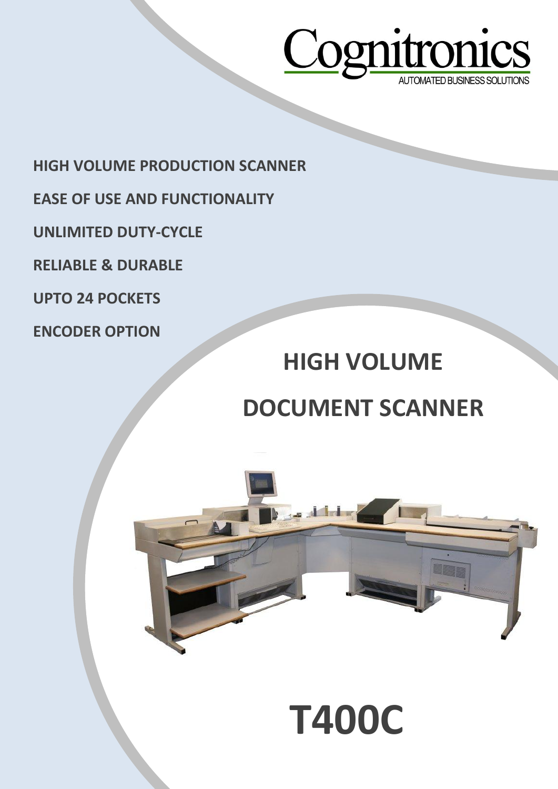

**HIGH VOLUME PRODUCTION SCANNER**

- **EASE OF USE AND FUNCTIONALITY**
- **UNLIMITED DUTY-CYCLE**
- **RELIABLE & DURABLE**
- **UPTO 24 POCKETS**
- **ENCODER OPTION**

## **HIGH VOLUME**

## **DOCUMENT SCANNER**